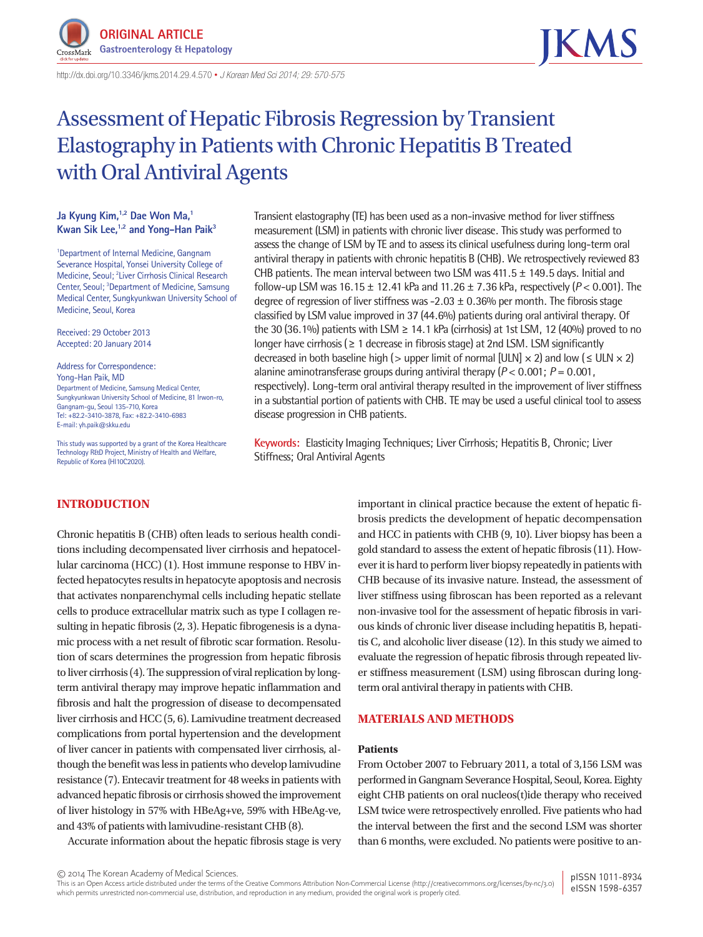

http://dx.doi.org/10.3346/ jkms.2014.29.4.570 • *J Korean Med Sci 2014; 29: 570-575*

# Assessment of Hepatic Fibrosis Regression by Transient Elastography in Patients with Chronic Hepatitis B Treated with Oral Antiviral Agents

## Ja Kyung Kim,<sup>1,2</sup> Dae Won Ma,<sup>1</sup> **Kwan Sik Lee,<sup>1,2</sup> and Yong-Han Paik<sup>3</sup>**

1 Department of Internal Medicine, Gangnam Severance Hospital, Yonsei University College of Medicine, Seoul; <sup>2</sup> Liver Cirrhosis Clinical Research Center, Seoul; <sup>3</sup>Department of Medicine, Samsung Medical Center, Sungkyunkwan University School of Medicine, Seoul, Korea

Received: 29 October 2013 Accepted: 20 January 2014

Address for Correspondence: Yong-Han Paik, MD Department of Medicine, Samsung Medical Center, Sungkyunkwan University School of Medicine, 81 Irwon-ro, Gangnam-gu, Seoul 135-710, Korea Tel: +82.2-3410-3878, Fax: +82.2-3410-6983 E-mail: yh.paik@skku.edu

This study was supported by a grant of the Korea Healthcare Technology R&D Project, Ministry of Health and Welfare, Republic of Korea (HI10C2020).

## **INTRODUCTION**

Chronic hepatitis B (CHB) often leads to serious health conditions including decompensated liver cirrhosis and hepatocellular carcinoma (HCC) (1). Host immune response to HBV infected hepatocytes results in hepatocyte apoptosis and necrosis that activates nonparenchymal cells including hepatic stellate cells to produce extracellular matrix such as type I collagen resulting in hepatic fibrosis (2, 3). Hepatic fibrogenesis is a dynamic process with a net result of fibrotic scar formation. Resolution of scars determines the progression from hepatic fibrosis to liver cirrhosis (4). The suppression of viral replication by longterm antiviral therapy may improve hepatic inflammation and fibrosis and halt the progression of disease to decompensated liver cirrhosis and HCC (5, 6). Lamivudine treatment decreased complications from portal hypertension and the development of liver cancer in patients with compensated liver cirrhosis, although the benefit was less in patients who develop lamivudine resistance (7). Entecavir treatment for 48 weeks in patients with advanced hepatic fibrosis or cirrhosis showed the improvement of liver histology in 57% with HBeAg+ve, 59% with HBeAg-ve, and 43% of patients with lamivudine-resistant CHB (8).

Accurate information about the hepatic fibrosis stage is very

Transient elastography (TE) has been used as a non-invasive method for liver stiffness measurement (LSM) in patients with chronic liver disease. This study was performed to assess the change of LSM by TE and to assess its clinical usefulness during long-term oral antiviral therapy in patients with chronic hepatitis B (CHB). We retrospectively reviewed 83 CHB patients. The mean interval between two LSM was  $411.5 \pm 149.5$  days. Initial and follow-up LSM was 16.15 ± 12.41 kPa and 11.26 ± 7.36 kPa, respectively (*P* < 0.001). The degree of regression of liver stiffness was  $-2.03 \pm 0.36$ % per month. The fibrosis stage classified by LSM value improved in 37 (44.6%) patients during oral antiviral therapy. Of the 30 (36.1%) patients with LSM  $\geq$  14.1 kPa (cirrhosis) at 1st LSM, 12 (40%) proved to no longer have cirrhosis (≥ 1 decrease in fibrosis stage) at 2nd LSM. LSM significantly decreased in both baseline high (> upper limit of normal [ULN]  $\times$  2) and low ( $\leq$  ULN  $\times$  2) alanine aminotransferase groups during antiviral therapy (*P* < 0.001; *P* = 0.001, respectively). Long-term oral antiviral therapy resulted in the improvement of liver stiffness in a substantial portion of patients with CHB. TE may be used a useful clinical tool to assess disease progression in CHB patients.

**Keywords:** Elasticity Imaging Techniques; Liver Cirrhosis; Hepatitis B, Chronic; Liver Stiffness; Oral Antiviral Agents

> important in clinical practice because the extent of hepatic fibrosis predicts the development of hepatic decompensation and HCC in patients with CHB (9, 10). Liver biopsy has been a gold standard to assess the extent of hepatic fibrosis (11). However it is hard to perform liver biopsy repeatedly in patients with CHB because of its invasive nature. Instead, the assessment of liver stiffness using fibroscan has been reported as a relevant non-invasive tool for the assessment of hepatic fibrosis in various kinds of chronic liver disease including hepatitis B, hepatitis C, and alcoholic liver disease (12). In this study we aimed to evaluate the regression of hepatic fibrosis through repeated liver stiffness measurement (LSM) using fibroscan during longterm oral antiviral therapy in patients with CHB.

# **MATERIALS AND METHODS**

#### **Patients**

From October 2007 to February 2011, a total of 3,156 LSM was performed in Gangnam Severance Hospital, Seoul, Korea. Eighty eight CHB patients on oral nucleos(t)ide therapy who received LSM twice were retrospectively enrolled. Five patients who had the interval between the first and the second LSM was shorter than 6 months, were excluded. No patients were positive to an-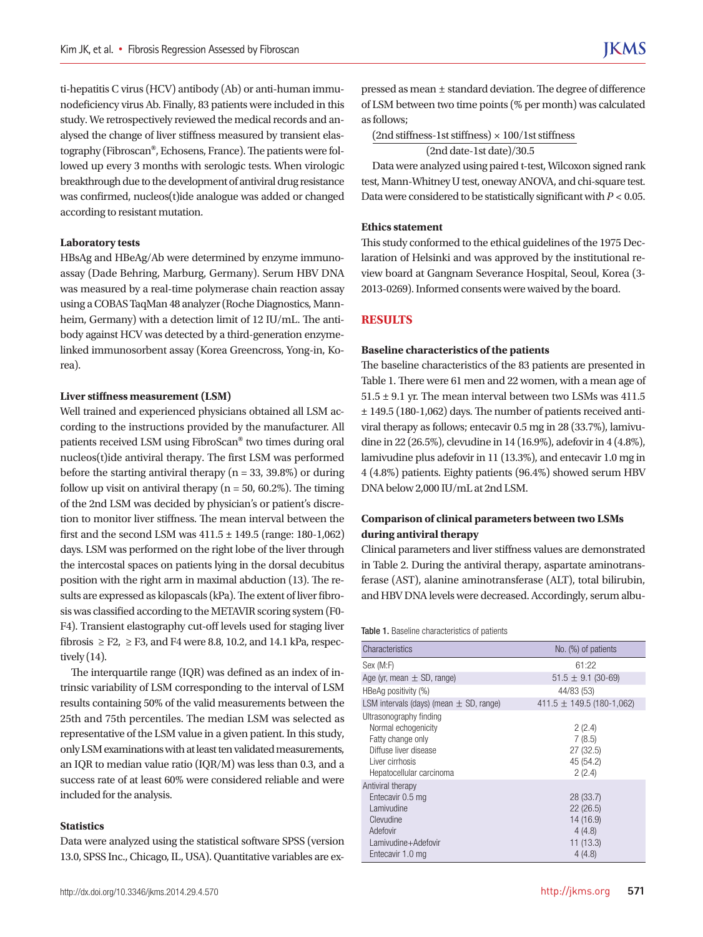ti-hepatitis C virus (HCV) antibody (Ab) or anti-human immunodeficiency virus Ab. Finally, 83 patients were included in this study. We retrospectively reviewed the medical records and analysed the change of liver stiffness measured by transient elastography (Fibroscan**®**, Echosens, France). The patients were followed up every 3 months with serologic tests. When virologic breakthrough due to the development of antiviral drug resistance was confirmed, nucleos(t)ide analogue was added or changed according to resistant mutation.

#### **Laboratory tests**

HBsAg and HBeAg/Ab were determined by enzyme immunoassay (Dade Behring, Marburg, Germany). Serum HBV DNA was measured by a real-time polymerase chain reaction assay using a COBAS TaqMan 48 analyzer (Roche Diagnostics, Mannheim, Germany) with a detection limit of 12 IU/mL. The antibody against HCV was detected by a third-generation enzymelinked immunosorbent assay (Korea Greencross, Yong-in, Korea).

#### **Liver stiffness measurement (LSM)**

Well trained and experienced physicians obtained all LSM according to the instructions provided by the manufacturer. All patients received LSM using FibroScan**®** two times during oral nucleos(t)ide antiviral therapy. The first LSM was performed before the starting antiviral therapy ( $n = 33, 39.8\%$ ) or during follow up visit on antiviral therapy ( $n = 50$ , 60.2%). The timing of the 2nd LSM was decided by physician's or patient's discretion to monitor liver stiffness. The mean interval between the first and the second LSM was  $411.5 \pm 149.5$  (range: 180-1,062) days. LSM was performed on the right lobe of the liver through the intercostal spaces on patients lying in the dorsal decubitus position with the right arm in maximal abduction (13). The results are expressed as kilopascals (kPa). The extent of liver fibrosis was classified according to the METAVIR scoring system (F0-F4). Transient elastography cut-off levels used for staging liver fibrosis  $\geq$  F2,  $\geq$  F3, and F4 were 8.8, 10.2, and 14.1 kPa, respectively (14).

The interquartile range (IQR) was defined as an index of intrinsic variability of LSM corresponding to the interval of LSM results containing 50% of the valid measurements between the 25th and 75th percentiles. The median LSM was selected as representative of the LSM value in a given patient. In this study, only LSM examinations with at least ten validated measurements, an IQR to median value ratio (IQR/M) was less than 0.3, and a success rate of at least 60% were considered reliable and were included for the analysis.

#### **Statistics**

Data were analyzed using the statistical software SPSS (version 13.0, SPSS Inc., Chicago, IL, USA). Quantitative variables are expressed as mean ± standard deviation. The degree of difference of LSM between two time points (% per month) was calculated as follows;

 $(2nd stiffness-1st stiffness) \times 100/1st stiffness$ 

(2nd date-1st date)/30.5

Data were analyzed using paired t-test, Wilcoxon signed rank test, Mann-Whitney U test, oneway ANOVA, and chi-square test. Data were considered to be statistically significant with *P* < 0.05.

#### **Ethics statement**

This study conformed to the ethical guidelines of the 1975 Declaration of Helsinki and was approved by the institutional review board at Gangnam Severance Hospital, Seoul, Korea (3-2013-0269). Informed consents were waived by the board.

### **RESULTS**

#### **Baseline characteristics of the patients**

The baseline characteristics of the 83 patients are presented in Table 1. There were 61 men and 22 women, with a mean age of  $51.5 \pm 9.1$  yr. The mean interval between two LSMs was 411.5 ± 149.5 (180-1,062) days. The number of patients received antiviral therapy as follows; entecavir 0.5 mg in 28 (33.7%), lamivudine in 22 (26.5%), clevudine in 14 (16.9%), adefovir in 4 (4.8%), lamivudine plus adefovir in 11 (13.3%), and entecavir 1.0 mg in 4 (4.8%) patients. Eighty patients (96.4%) showed serum HBV DNA below 2,000 IU/mL at 2nd LSM.

# **Comparison of clinical parameters between two LSMs during antiviral therapy**

Clinical parameters and liver stiffness values are demonstrated in Table 2. During the antiviral therapy, aspartate aminotransferase (AST), alanine aminotransferase (ALT), total bilirubin, and HBV DNA levels were decreased. Accordingly, serum albu-

#### Table 1. Baseline characteristics of patients

| Characteristics                                                                                                                             | No. (%) of patients                                                |
|---------------------------------------------------------------------------------------------------------------------------------------------|--------------------------------------------------------------------|
| Sex (M:F)                                                                                                                                   | 61:22                                                              |
| Age (yr, mean $\pm$ SD, range)                                                                                                              | $51.5 \pm 9.1$ (30-69)                                             |
| HBeAg positivity (%)                                                                                                                        | 44/83 (53)                                                         |
| LSM intervals (days) (mean $\pm$ SD, range)                                                                                                 | 411.5 $\pm$ 149.5 (180-1,062)                                      |
| Ultrasonography finding<br>Normal echogenicity<br>Fatty change only<br>Diffuse liver disease<br>Liver cirrhosis<br>Hepatocellular carcinoma | 2(2.4)<br>7(8.5)<br>27 (32.5)<br>45 (54.2)<br>2(2.4)               |
| Antiviral therapy<br>Entecavir 0.5 mg<br>Lamivudine<br>Clevudine<br>Adefovir<br>Lamivudine+Adefovir<br>Entecavir 1.0 mg                     | 28 (33.7)<br>22(26.5)<br>14 (16.9)<br>4(4.8)<br>11(13.3)<br>4(4.8) |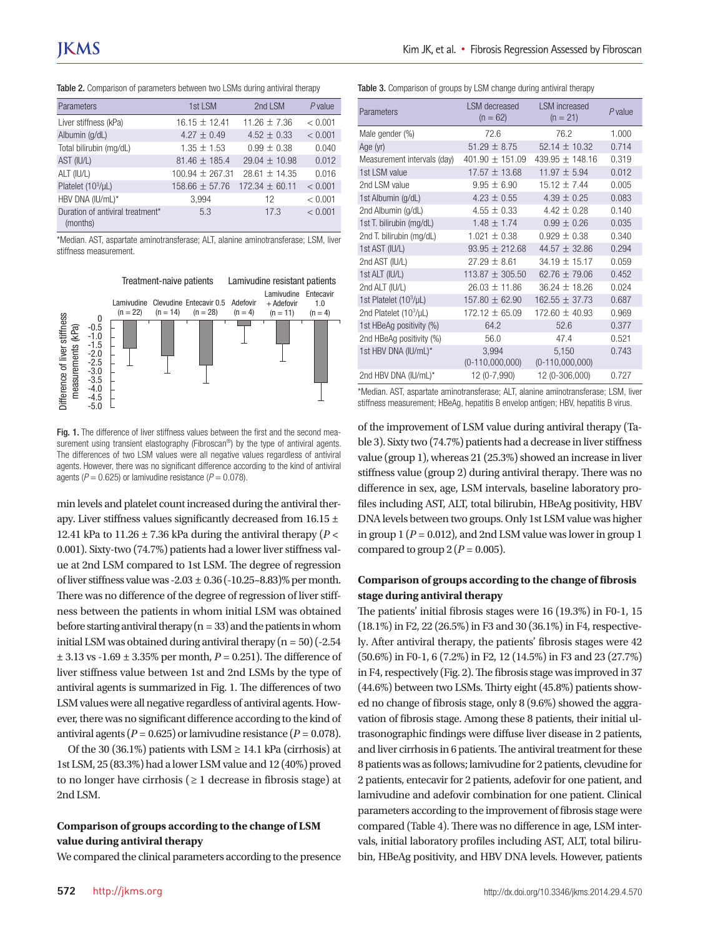|  | Table 2. Comparison of parameters between two LSMs during antiviral therapy |  |  |  |  |  |  |  |  |
|--|-----------------------------------------------------------------------------|--|--|--|--|--|--|--|--|
|--|-----------------------------------------------------------------------------|--|--|--|--|--|--|--|--|

| Parameters                                   | 1st LSM            | 2nd LSM            | $P$ value |
|----------------------------------------------|--------------------|--------------------|-----------|
| Liver stiffness (kPa)                        | $16.15 + 12.41$    | $11.26 + 7.36$     | < 0.001   |
| Albumin (g/dL)                               | 4.27 $\pm$ 0.49    | $4.52 + 0.33$      | < 0.001   |
| Total bilirubin (mg/dL)                      | $1.35 + 1.53$      | $0.99 + 0.38$      | 0.040     |
| AST (IU/L)                                   | $81.46 \pm 185.4$  | $29.04 + 10.98$    | 0.012     |
| ALT (IU/L)                                   | $100.94 + 267.31$  | $28.61 + 14.35$    | 0.016     |
| Platelet $(10^3/\mu L)$                      | $158.66 \pm 57.76$ | $172.34 \pm 60.11$ | < 0.001   |
| HBV DNA (IU/mL)*                             | 3,994              | 12                 | < 0.001   |
| Duration of antiviral treatment*<br>(months) | 5.3                | 17.3               | < 0.001   |

\*Median. AST, aspartate aminotransferase; ALT, alanine aminotransferase; LSM, liver stiffness measurement.



Fig. 1. The difference of liver stiffness values between the first and the second measurement using transient elastography (Fibroscan<sup>®</sup>) by the type of antiviral agents. The differences of two LSM values were all negative values regardless of antiviral agents. However, there was no significant difference according to the kind of antiviral

min levels and platelet count increased during the antiviral therapy. Liver stiffness values significantly decreased from 16.15 ± 12.41 kPa to 11.26  $\pm$  7.36 kPa during the antiviral therapy ( $P \lt \theta$ 0.001). Sixty-two (74.7%) patients had a lower liver stiffness value at 2nd LSM compared to 1st LSM. The degree of regression of liver stiffness value was  $-2.03 \pm 0.36 (-10.25 \times 8.83)\%$  per month. There was no difference of the degree of regression of liver stiffness between the patients in whom initial LSM was obtained before starting antiviral therapy  $(n = 33)$  and the patients in whom initial LSM was obtained during antiviral therapy  $(n = 50)$  (-2.54) ± 3.13 vs -1.69 ± 3.35% per month, *P* = 0.251). The difference of liver stiffness value between 1st and 2nd LSMs by the type of antiviral agents is summarized in Fig. 1. The differences of two LSM values were all negative regardless of antiviral agents. However, there was no significant difference according to the kind of antiviral agents ( $P = 0.625$ ) or lamivudine resistance ( $P = 0.078$ ).

Of the 30 (36.1%) patients with LSM  $\geq$  14.1 kPa (cirrhosis) at 1st LSM, 25 (83.3%) had a lower LSM value and 12 (40%) proved to no longer have cirrhosis ( $\geq 1$  decrease in fibrosis stage) at 2nd LSM.

# **Comparison of groups according to the change of LSM value during antiviral therapy**

We compared the clinical parameters according to the presence

Table 3. Comparison of groups by LSM change during antiviral therapy

| Parameters                  | <b>LSM</b> decreased<br>$(n = 62)$ | <b>LSM</b> increased<br>$(n = 21)$ | $P$ value |
|-----------------------------|------------------------------------|------------------------------------|-----------|
| Male gender (%)             | 72.6                               | 76.2                               | 1.000     |
| Age (yr)                    | $51.29 \pm 8.75$                   | 52.14 $\pm$ 10.32                  | 0.714     |
| Measurement intervals (day) | 401.90 $\pm$ 151.09                | 439.95 $\pm$ 148.16                | 0.319     |
| 1st LSM value               | $17.57 \pm 13.68$                  | $11.97 \pm 5.94$                   | 0.012     |
| 2nd LSM value               | $9.95 \pm 6.90$                    | $15.12 \pm 7.44$                   | 0.005     |
| 1st Albumin (g/dL)          | $4.23 \pm 0.55$                    | $4.39 \pm 0.25$                    | 0.083     |
| 2nd Albumin (g/dL)          | $4.55 \pm 0.33$                    | $4.42 + 0.28$                      | 0.140     |
| 1st T. bilirubin (mg/dL)    | $1.48 \pm 1.74$                    | $0.99 + 0.26$                      | 0.035     |
| 2nd T. bilirubin (mg/dL)    | $1.021 \pm 0.38$                   | $0.929 \pm 0.38$                   | 0.340     |
| 1st AST (IU/L)              | $93.95 \pm 212.68$                 | 44.57 $\pm$ 32.86                  | 0.294     |
| 2nd AST (IU/L)              | $27.29 + 8.61$                     | $34.19 + 15.17$                    | 0.059     |
| 1st ALT (IU/L)              | $113.87 \pm 305.50$                | 62.76 $\pm$ 79.06                  | 0.452     |
| 2nd ALT (IU/L)              | $26.03 \pm 11.86$                  | $36.24 \pm 18.26$                  | 0.024     |
| 1st Platelet $(10^3/\mu L)$ | $157.80 \pm 62.90$                 | $162.55 \pm 37.73$                 | 0.687     |
| 2nd Platelet $(10^3/\mu L)$ | $172.12 \pm 65.09$                 | $172.60 \pm 40.93$                 | 0.969     |
| 1st HBeAg positivity (%)    | 64.2                               | 52.6                               | 0.377     |
| 2nd HBeAg positivity (%)    | 56.0                               | 47.4                               | 0.521     |
| 1st HBV DNA (IU/mL)*        | 3,994<br>$(0-110,000,000)$         | 5,150<br>$(0-110,000,000)$         | 0.743     |
| 2nd HBV DNA (IU/mL)*        | 12 (0-7,990)                       | 12 (0-306,000)                     | 0.727     |

\*Median. AST, aspartate aminotransferase; ALT, alanine aminotransferase; LSM, liver stiffness measurement; HBeAg, hepatitis B envelop antigen; HBV, hepatitis B virus.

of the improvement of LSM value during antiviral therapy (Table 3). Sixty two (74.7%) patients had a decrease in liver stiffness value (group 1), whereas 21 (25.3%) showed an increase in liver stiffness value (group 2) during antiviral therapy. There was no difference in sex, age, LSM intervals, baseline laboratory profiles including AST, ALT, total bilirubin, HBeAg positivity, HBV DNA levels between two groups. Only 1st LSM value was higher in group  $1 (P = 0.012)$ , and 2nd LSM value was lower in group 1 compared to group  $2 (P = 0.005)$ .

## **Comparison of groups according to the change of fibrosis stage during antiviral therapy**

The patients' initial fibrosis stages were 16 (19.3%) in F0-1, 15 (18.1%) in F2, 22 (26.5%) in F3 and 30 (36.1%) in F4, respectively. After antiviral therapy, the patients' fibrosis stages were 42 (50.6%) in F0-1, 6 (7.2%) in F2, 12 (14.5%) in F3 and 23 (27.7%) in F4, respectively (Fig. 2). The fibrosis stage was improved in 37 (44.6%) between two LSMs. Thirty eight (45.8%) patients showed no change of fibrosis stage, only 8 (9.6%) showed the aggravation of fibrosis stage. Among these 8 patients, their initial ultrasonographic findings were diffuse liver disease in 2 patients, and liver cirrhosis in 6 patients. The antiviral treatment for these 8 patients was as follows; lamivudine for 2 patients, clevudine for 2 patients, entecavir for 2 patients, adefovir for one patient, and lamivudine and adefovir combination for one patient. Clinical parameters according to the improvement of fibrosis stage were compared (Table 4). There was no difference in age, LSM intervals, initial laboratory profiles including AST, ALT, total bilirubin, HBeAg positivity, and HBV DNA levels. However, patients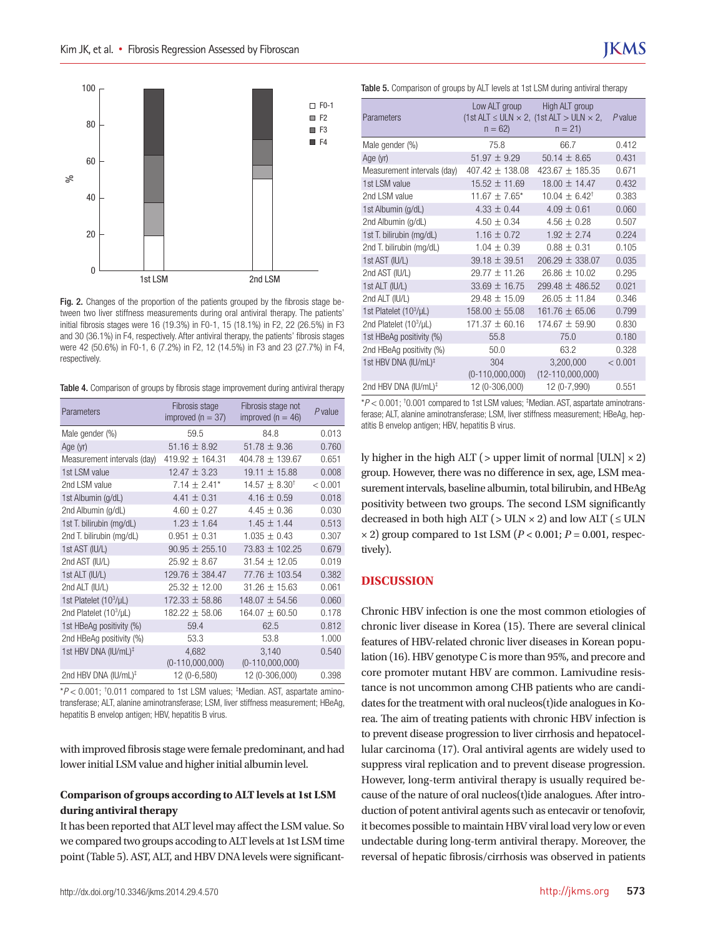

Fig. 2. Changes of the proportion of the patients grouped by the fibrosis stage between two liver stiffness measurements during oral antiviral therapy. The patients' initial fibrosis stages were 16 (19.3%) in F0-1, 15 (18.1%) in F2, 22 (26.5%) in F3 and 30 (36.1%) in F4, respectively. After antiviral therapy, the patients' fibrosis stages were 42 (50.6%) in F0-1, 6 (7.2%) in F2, 12 (14.5%) in F3 and 23 (27.7%) in F4, respectively.

Table 4. Comparison of groups by fibrosis stage improvement during antiviral therapy

| Parameters                       | Fibrosis stage<br>improved ( $n = 37$ ) | Fibrosis stage not<br>improved ( $n = 46$ ) | $P$ value |
|----------------------------------|-----------------------------------------|---------------------------------------------|-----------|
| Male gender (%)                  | 59.5                                    | 84.8                                        | 0.013     |
| Age (yr)                         | 51.16 $\pm$ 8.92                        | 51.78 $\pm$ 9.36                            | 0.760     |
| Measurement intervals (day)      | 419.92 $\pm$ 164.31                     | 404.78 $\pm$ 139.67                         | 0.651     |
| 1st LSM value                    | $12.47 \pm 3.23$                        | 19.11 ± 15.88                               | 0.008     |
| 2nd LSM value                    | $7.14 \pm 2.41*$                        | $14.57 \pm 8.30^{\dagger}$                  | < 0.001   |
| 1st Albumin (g/dL)               | 4.41 $\pm$ 0.31                         | $4.16 \pm 0.59$                             | 0.018     |
| 2nd Albumin (g/dL)               | $4.60 \pm 0.27$                         | $4.45 \pm 0.36$                             | 0.030     |
| 1st T. bilirubin (mg/dL)         | $1.23 \pm 1.64$                         | $1.45 \pm 1.44$                             | 0.513     |
| 2nd T. bilirubin (mg/dL)         | $0.951 \pm 0.31$                        | $1.035 \pm 0.43$                            | 0.307     |
| 1st AST (IU/L)                   | $90.95 \pm 255.10$                      | $73.83 \pm 102.25$                          | 0.679     |
| 2nd AST (IU/L)                   | $25.92 \pm 8.67$                        | $31.54 \pm 12.05$                           | 0.019     |
| 1st ALT (IU/L)                   | 129.76 $\pm$ 384.47                     | 77.76 ± 103.54                              | 0.382     |
| 2nd ALT (IU/L)                   | $25.32 \pm 12.00$                       | $31.26 \pm 15.63$                           | 0.061     |
| 1st Platelet $(10^3/\mu L)$      | $172.33 \pm 58.86$                      | 148.07 ± 54.56                              | 0.060     |
| 2nd Platelet $(10^3/\mu L)$      | $182.22 \pm 58.06$                      | $164.07 \pm 60.50$                          | 0.178     |
| 1st HBeAg positivity (%)         | 59.4                                    | 62.5                                        | 0.812     |
| 2nd HBeAg positivity (%)         | 53.3                                    | 53.8                                        | 1.000     |
| 1st HBV DNA (IU/mL) <sup>‡</sup> | 4,682<br>$(0-110,000,000)$              | 3,140<br>$(0-110,000,000)$                  | 0.540     |
| 2nd HBV DNA (IU/mL) <sup>‡</sup> | 12 (0-6,580)                            | 12 (0-306,000)                              | 0.398     |

\**P* < 0.001; † 0.011 compared to 1st LSM values; ‡ Median. AST, aspartate aminotransferase; ALT, alanine aminotransferase; LSM, liver stiffness measurement; HBeAg, hepatitis B envelop antigen; HBV, hepatitis B virus.

with improved fibrosis stage were female predominant, and had lower initial LSM value and higher initial albumin level.

# **Comparison of groups according to ALT levels at 1st LSM during antiviral therapy**

It has been reported that ALT level may affect the LSM value. So we compared two groups accoding to ALT levels at 1st LSM time point (Table 5). AST, ALT, and HBV DNA levels were significantTable 5. Comparison of groups by ALT levels at 1st LSM during antiviral therapy

| Parameters                       | Low ALT group<br>$n = 62$ | High ALT group<br>$1st$ ALT $\leq$ ULN $\times$ 2, $(1st$ ALT $>$ ULN $\times$ 2,<br>$n = 21$ | P value |
|----------------------------------|---------------------------|-----------------------------------------------------------------------------------------------|---------|
| Male gender (%)                  | 75.8                      | 66.7                                                                                          | 0.412   |
| Age (yr)                         | $51.97 \pm 9.29$          | $50.14 + 8.65$                                                                                | 0.431   |
| Measurement intervals (day)      | $407.42 + 138.08$         | 423.67 $\pm$ 185.35                                                                           | 0.671   |
| 1st LSM value                    | $15.52 \pm 11.69$         | $18.00 + 14.47$                                                                               | 0.432   |
| 2nd LSM value                    | $11.67 \pm 7.65$ *        | $10.04 \pm 6.42^{\dagger}$                                                                    | 0.383   |
| 1st Albumin (g/dL)               | $4.33 \pm 0.44$           | $4.09 \pm 0.61$                                                                               | 0.060   |
| 2nd Albumin (g/dL)               | $4.50 \pm 0.34$           | $4.56 + 0.28$                                                                                 | 0.507   |
| 1st T. bilirubin (mg/dL)         | $1.16 \pm 0.72$           | $1.92 \pm 2.74$                                                                               | 0.224   |
| 2nd T. bilirubin (mg/dL)         | $1.04 \pm 0.39$           | $0.88 \pm 0.31$                                                                               | 0.105   |
| 1st AST (IU/L)                   | $39.18 \pm 39.51$         | 206.29 $\pm$ 338.07                                                                           | 0.035   |
| 2nd AST (IU/L)                   | $29.77 \pm 11.26$         | $26.86 \pm 10.02$                                                                             | 0.295   |
| 1st ALT (IU/L)                   | $33.69 \pm 16.75$         | 299.48 $\pm$ 486.52                                                                           | 0.021   |
| 2nd ALT (IU/L)                   | $29.48 + 15.09$           | $26.05 + 11.84$                                                                               | 0.346   |
| 1st Platelet $(10^3/\mu L)$      | $158.00 \pm 55.08$        | $161.76 \pm 65.06$                                                                            | 0.799   |
| 2nd Platelet $(10^3/\mu L)$      | $171.37 \pm 60.16$        | $174.67 + 59.90$                                                                              | 0.830   |
| 1st HBeAg positivity (%)         | 55.8                      | 75.0                                                                                          | 0.180   |
| 2nd HBeAg positivity (%)         | 50.0                      | 63.2                                                                                          | 0.328   |
| 1st HBV DNA (IU/mL) <sup>‡</sup> | 304<br>$(0-110,000,000)$  | 3,200,000<br>$(12-110,000,000)$                                                               | < 0.001 |
| 2nd HBV DNA (IU/mL) <sup>‡</sup> | 12 (0-306,000)            | 12 (0-7,990)                                                                                  | 0.551   |

\**P* < 0.001; † 0.001 compared to 1st LSM values; ‡ Median. AST, aspartate aminotransferase; ALT, alanine aminotransferase; LSM, liver stiffness measurement; HBeAg, hepatitis B envelop antigen; HBV, hepatitis B virus.

ly higher in the high ALT ( $>$  upper limit of normal [ULN]  $\times$  2) group. However, there was no difference in sex, age, LSM measurement intervals, baseline albumin, total bilirubin, and HBeAg positivity between two groups. The second LSM significantly decreased in both high ALT ( $>$  ULN  $\times$  2) and low ALT ( $\leq$  ULN  $\times$  2) group compared to 1st LSM ( $P$  < 0.001;  $P$  = 0.001, respectively).

# **DISCUSSION**

Chronic HBV infection is one the most common etiologies of chronic liver disease in Korea (15). There are several clinical features of HBV-related chronic liver diseases in Korean population (16). HBV genotype C is more than 95%, and precore and core promoter mutant HBV are common. Lamivudine resistance is not uncommon among CHB patients who are candidates for the treatment with oral nucleos(t)ide analogues in Korea. The aim of treating patients with chronic HBV infection is to prevent disease progression to liver cirrhosis and hepatocellular carcinoma (17). Oral antiviral agents are widely used to suppress viral replication and to prevent disease progression. However, long-term antiviral therapy is usually required because of the nature of oral nucleos(t)ide analogues. After introduction of potent antiviral agents such as entecavir or tenofovir, it becomes possible to maintain HBV viral load very low or even undectable during long-term antiviral therapy. Moreover, the reversal of hepatic fibrosis/cirrhosis was observed in patients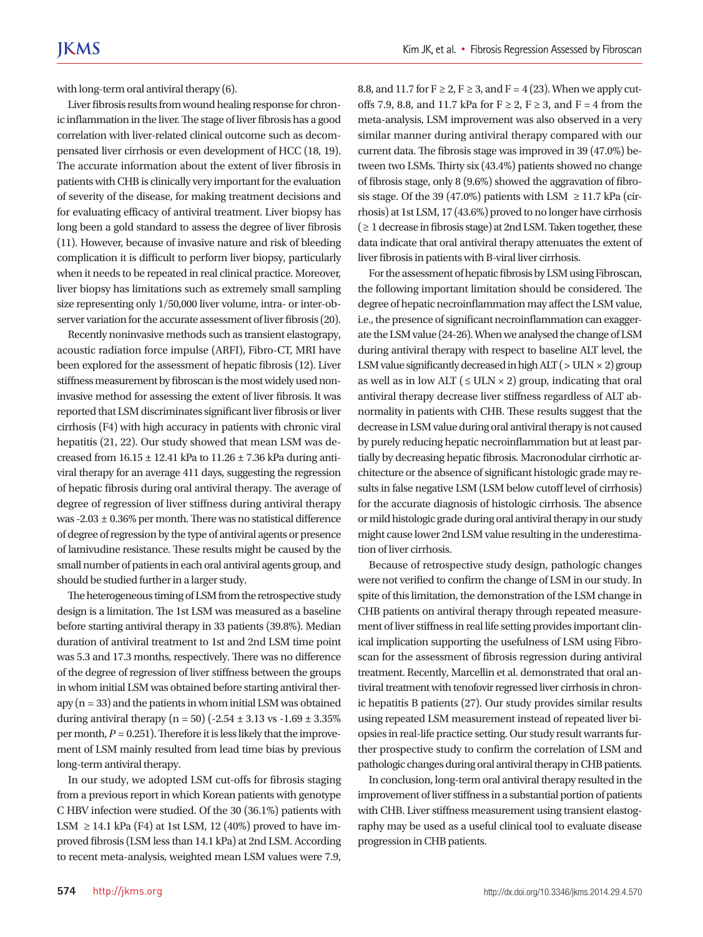with long-term oral antiviral therapy (6).

Liver fibrosis results from wound healing response for chronic inflammation in the liver. The stage of liver fibrosis has a good correlation with liver-related clinical outcome such as decompensated liver cirrhosis or even development of HCC (18, 19). The accurate information about the extent of liver fibrosis in patients with CHB is clinically very important for the evaluation of severity of the disease, for making treatment decisions and for evaluating efficacy of antiviral treatment. Liver biopsy has long been a gold standard to assess the degree of liver fibrosis (11). However, because of invasive nature and risk of bleeding complication it is difficult to perform liver biopsy, particularly when it needs to be repeated in real clinical practice. Moreover, liver biopsy has limitations such as extremely small sampling size representing only 1/50,000 liver volume, intra- or inter-observer variation for the accurate assessment of liver fibrosis (20).

Recently noninvasive methods such as transient elastograpy, acoustic radiation force impulse (ARFI), Fibro-CT, MRI have been explored for the assessment of hepatic fibrosis (12). Liver stiffness measurement by fibroscan is the most widely used noninvasive method for assessing the extent of liver fibrosis. It was reported that LSM discriminates significant liver fibrosis or liver cirrhosis (F4) with high accuracy in patients with chronic viral hepatitis (21, 22). Our study showed that mean LSM was decreased from  $16.15 \pm 12.41$  kPa to  $11.26 \pm 7.36$  kPa during antiviral therapy for an average 411 days, suggesting the regression of hepatic fibrosis during oral antiviral therapy. The average of degree of regression of liver stiffness during antiviral therapy was -2.03 ± 0.36% per month. There was no statistical difference of degree of regression by the type of antiviral agents or presence of lamivudine resistance. These results might be caused by the small number of patients in each oral antiviral agents group, and should be studied further in a larger study.

The heterogeneous timing of LSM from the retrospective study design is a limitation. The 1st LSM was measured as a baseline before starting antiviral therapy in 33 patients (39.8%). Median duration of antiviral treatment to 1st and 2nd LSM time point was 5.3 and 17.3 months, respectively. There was no difference of the degree of regression of liver stiffness between the groups in whom initial LSM was obtained before starting antiviral therapy  $(n = 33)$  and the patients in whom initial LSM was obtained during antiviral therapy (n = 50) (-2.54  $\pm$  3.13 vs -1.69  $\pm$  3.35% per month,  $P = 0.251$ ). Therefore it is less likely that the improvement of LSM mainly resulted from lead time bias by previous long-term antiviral therapy.

In our study, we adopted LSM cut-offs for fibrosis staging from a previous report in which Korean patients with genotype C HBV infection were studied. Of the 30 (36.1%) patients with LSM  $\geq$  14.1 kPa (F4) at 1st LSM, 12 (40%) proved to have improved fibrosis (LSM less than 14.1 kPa) at 2nd LSM. According to recent meta-analysis, weighted mean LSM values were 7.9,

8.8, and 11.7 for  $F \ge 2$ ,  $F \ge 3$ , and  $F = 4(23)$ . When we apply cutoffs 7.9, 8.8, and 11.7 kPa for  $F \ge 2$ ,  $F \ge 3$ , and  $F = 4$  from the meta-analysis, LSM improvement was also observed in a very similar manner during antiviral therapy compared with our current data. The fibrosis stage was improved in 39 (47.0%) between two LSMs. Thirty six (43.4%) patients showed no change of fibrosis stage, only 8 (9.6%) showed the aggravation of fibrosis stage. Of the 39 (47.0%) patients with LSM  $\geq$  11.7 kPa (cirrhosis) at 1st LSM, 17 (43.6%) proved to no longer have cirrhosis  $\geq 1$  decrease in fibrosis stage) at 2nd LSM. Taken together, these data indicate that oral antiviral therapy attenuates the extent of liver fibrosis in patients with B-viral liver cirrhosis.

For the assessment of hepatic fibrosis by LSM using Fibroscan, the following important limitation should be considered. The degree of hepatic necroinflammation may affect the LSM value, i.e., the presence of significant necroinflammation can exaggerate the LSM value (24-26). When we analysed the change of LSM during antiviral therapy with respect to baseline ALT level, the LSM value significantly decreased in high ALT ( $>$  ULN  $\times$  2) group as well as in low ALT ( $\leq$  ULN  $\times$  2) group, indicating that oral antiviral therapy decrease liver stiffness regardless of ALT abnormality in patients with CHB. These results suggest that the decrease in LSM value during oral antiviral therapy is not caused by purely reducing hepatic necroinflammation but at least partially by decreasing hepatic fibrosis. Macronodular cirrhotic architecture or the absence of significant histologic grade may results in false negative LSM (LSM below cutoff level of cirrhosis) for the accurate diagnosis of histologic cirrhosis. The absence or mild histologic grade during oral antiviral therapy in our study might cause lower 2nd LSM value resulting in the underestimation of liver cirrhosis.

Because of retrospective study design, pathologic changes were not verified to confirm the change of LSM in our study. In spite of this limitation, the demonstration of the LSM change in CHB patients on antiviral therapy through repeated measurement of liver stiffness in real life setting provides important clinical implication supporting the usefulness of LSM using Fibroscan for the assessment of fibrosis regression during antiviral treatment. Recently, Marcellin et al. demonstrated that oral antiviral treatment with tenofovir regressed liver cirrhosis in chronic hepatitis B patients (27). Our study provides similar results using repeated LSM measurement instead of repeated liver biopsies in real-life practice setting. Our study result warrants further prospective study to confirm the correlation of LSM and pathologic changes during oral antiviral therapy in CHB patients.

In conclusion, long-term oral antiviral therapy resulted in the improvement of liver stiffness in a substantial portion of patients with CHB. Liver stiffness measurement using transient elastography may be used as a useful clinical tool to evaluate disease progression in CHB patients.